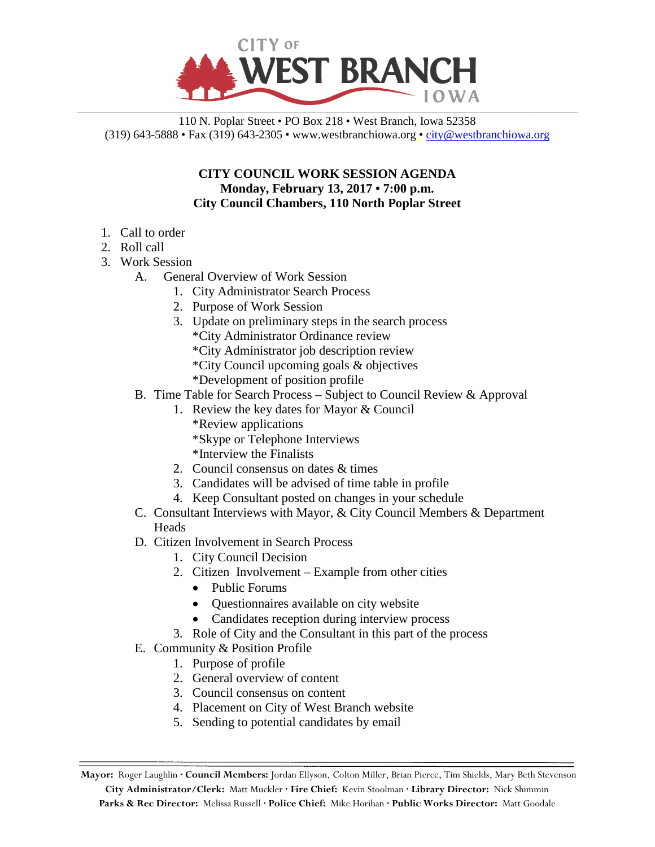

110 N. Poplar Street • PO Box 218 • West Branch, Iowa 52358 (319) 643-5888 • Fax (319) 643-2305 • www.westbranchiowa.org • [city@westbranchiowa.org](mailto:city@westbranchiowa.org)

## **CITY COUNCIL WORK SESSION AGENDA Monday, February 13, 2017 • 7:00 p.m. City Council Chambers, 110 North Poplar Street**

- 1. Call to order
- 2. Roll call
- 3. Work Session
	- A. General Overview of Work Session
		- 1. City Administrator Search Process
		- 2. Purpose of Work Session
		- 3. Update on preliminary steps in the search process \*City Administrator Ordinance review
			- \*City Administrator job description review
			- \*City Council upcoming goals & objectives
			- \*Development of position profile
	- B. Time Table for Search Process Subject to Council Review & Approval
		- 1. Review the key dates for Mayor & Council
			- \*Review applications
			- \*Skype or Telephone Interviews
			- \*Interview the Finalists
		- 2. Council consensus on dates & times
		- 3. Candidates will be advised of time table in profile
		- 4. Keep Consultant posted on changes in your schedule
	- C. Consultant Interviews with Mayor, & City Council Members & Department **Heads**
	- D. Citizen Involvement in Search Process
		- 1. City Council Decision
		- 2. Citizen Involvement Example from other cities
			- Public Forums
			- Questionnaires available on city website
			- Candidates reception during interview process
		- 3. Role of City and the Consultant in this part of the process
	- E. Community & Position Profile
		- 1. Purpose of profile
		- 2. General overview of content
		- 3. Council consensus on content
		- 4. Placement on City of West Branch website
		- 5. Sending to potential candidates by email

**Mayor:** Roger Laughlin **· Council Members:** Jordan Ellyson, Colton Miller, Brian Pierce, Tim Shields, Mary Beth Stevenson **City Administrator/Clerk:** Matt Muckler **· Fire Chief:** Kevin Stoolman **· Library Director:** Nick Shimmin **Parks & Rec Director:** Melissa Russell **· Police Chief:** Mike Horihan **· Public Works Director:** Matt Goodale